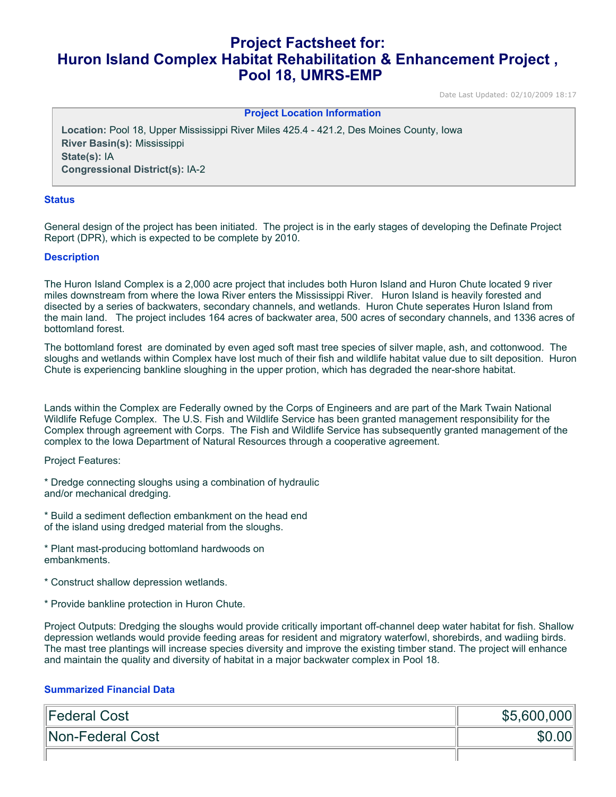# **Project Factsheet for: Huron Island Complex Habitat Rehabilitation & Enhancement Project , Pool 18, UMRS-EMP**

Date Last Updated: 02/10/2009 18:17

**Project Location Information** 

**Location:** Pool 18, Upper Mississippi River Miles 425.4 - 421.2, Des Moines County, Iowa **River Basin(s):** Mississippi **State(s):** IA **Congressional District(s):** IA-2

#### **Status**

General design of the project has been initiated. The project is in the early stages of developing the Definate Project Report (DPR), which is expected to be complete by 2010.

#### **Description**

The Huron Island Complex is a 2,000 acre project that includes both Huron Island and Huron Chute located 9 river miles downstream from where the Iowa River enters the Mississippi River. Huron Island is heavily forested and disected by a series of backwaters, secondary channels, and wetlands. Huron Chute seperates Huron Island from the main land. The project includes 164 acres of backwater area, 500 acres of secondary channels, and 1336 acres of bottomland forest.

The bottomland forest are dominated by even aged soft mast tree species of silver maple, ash, and cottonwood. The sloughs and wetlands within Complex have lost much of their fish and wildlife habitat value due to silt deposition. Huron Chute is experiencing bankline sloughing in the upper protion, which has degraded the near-shore habitat.

Lands within the Complex are Federally owned by the Corps of Engineers and are part of the Mark Twain National Wildlife Refuge Complex. The U.S. Fish and Wildlife Service has been granted management responsibility for the Complex through agreement with Corps. The Fish and Wildlife Service has subsequently granted management of the complex to the Iowa Department of Natural Resources through a cooperative agreement.

Project Features:

- \* Dredge connecting sloughs using a combination of hydraulic and/or mechanical dredging.
- \* Build a sediment deflection embankment on the head end of the island using dredged material from the sloughs.
- \* Plant mast-producing bottomland hardwoods on embankments.
- \* Construct shallow depression wetlands.
- \* Provide bankline protection in Huron Chute.

Project Outputs: Dredging the sloughs would provide critically important off-channel deep water habitat for fish. Shallow depression wetlands would provide feeding areas for resident and migratory waterfowl, shorebirds, and wadiing birds. The mast tree plantings will increase species diversity and improve the existing timber stand. The project will enhance and maintain the quality and diversity of habitat in a major backwater complex in Pool 18.

#### **Summarized Financial Data**

| Federal Cost     | \$5,600,000 |
|------------------|-------------|
| Non-Federal Cost |             |
|                  |             |